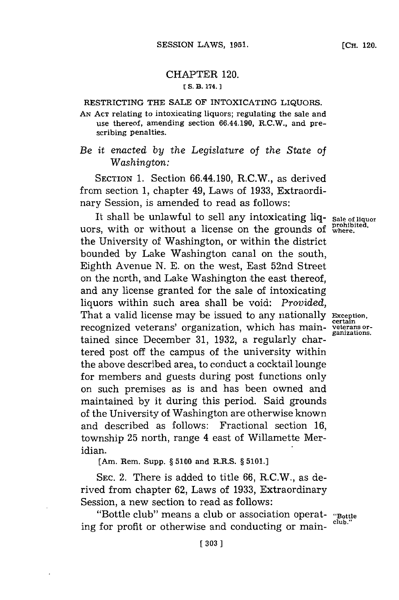### **[CH.** 120.

# CHAPTER 120. **ES. B. 174.]1**

#### RESTRICTING THE **SALE** OF INTOXICATING LIQUORS.

**AN' ACT** relating to intoxicating liquors; regulating the sale and use thereof, amending section 66.44.190, R.C.W., and prescribing penalties.

*Be it* enacted *by the Legislature* of *the State of Washington:*

**SECTION 1.** Section 66.44.190, R.C.W., as derived from section **1,** chapter 49, Laws of **1933,** Extraordinary Session, is amended to read as follows:

It shall be unlawful to sell any intoxicating liq- sale of liquor<br>
is, with or without a license on the grounds of where. uors, with or without a license on the grounds of the University of Washington, or within the district bounded **by** Lake Washington canal on the south, Eighth Avenue **N. E.** on the west, East 52nd Street on the north, and Lake Washington the east thereof, and any license granted for the sale of intoxicating liquors within such area shall be void: *Provided,* That a valid license may be issued to any nationally **Exception,** recognized veterans' organization, which has main- **veterans or**tained since December 31, 1932, a regularly chartered post off the campus of the university within the above described area, to conduct a cocktail lounge for members and guests during post functions only on such premises as is and has been owned and maintained **by** it during this period. Said grounds of the University of Washington are otherwise known and described as follows: Fractional section **16,** township **25** north, range 4 east of Willamette Meridian.

[Am. Rem. Supp. **§ 5100** and R.R.S. **§ 5101.1**

**SEC.** 2. There is added to title **66,** R.C.W., as derived from chapter **62,** Laws of **1933,** Extraordinary Session, a new section to read as follows:

"Bottle club" means a club or association operat- **"Bottle** ing for profit or otherwise and conducting or main-